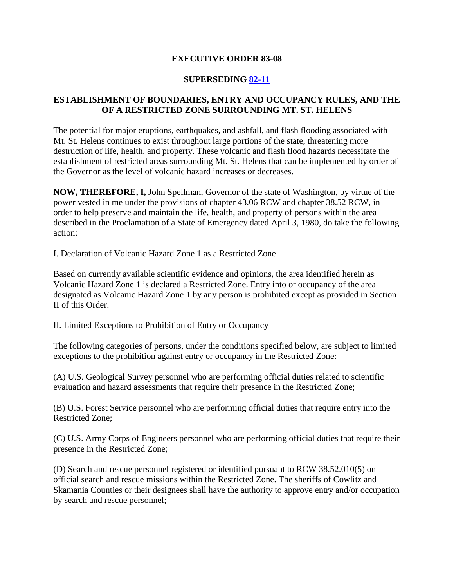### **EXECUTIVE ORDER 83-08**

### **SUPERSEDING [82-11](http://governor.wa.gov/office/execorders/eoarchive/eo82-11.htm)**

### **ESTABLISHMENT OF BOUNDARIES, ENTRY AND OCCUPANCY RULES, AND THE OF A RESTRICTED ZONE SURROUNDING MT. ST. HELENS**

The potential for major eruptions, earthquakes, and ashfall, and flash flooding associated with Mt. St. Helens continues to exist throughout large portions of the state, threatening more destruction of life, health, and property. These volcanic and flash flood hazards necessitate the establishment of restricted areas surrounding Mt. St. Helens that can be implemented by order of the Governor as the level of volcanic hazard increases or decreases.

**NOW, THEREFORE, I,** John Spellman, Governor of the state of Washington, by virtue of the power vested in me under the provisions of chapter 43.06 RCW and chapter 38.52 RCW, in order to help preserve and maintain the life, health, and property of persons within the area described in the Proclamation of a State of Emergency dated April 3, 1980, do take the following action:

I. Declaration of Volcanic Hazard Zone 1 as a Restricted Zone

Based on currently available scientific evidence and opinions, the area identified herein as Volcanic Hazard Zone 1 is declared a Restricted Zone. Entry into or occupancy of the area designated as Volcanic Hazard Zone 1 by any person is prohibited except as provided in Section II of this Order.

II. Limited Exceptions to Prohibition of Entry or Occupancy

The following categories of persons, under the conditions specified below, are subject to limited exceptions to the prohibition against entry or occupancy in the Restricted Zone:

(A) U.S. Geological Survey personnel who are performing official duties related to scientific evaluation and hazard assessments that require their presence in the Restricted Zone;

(B) U.S. Forest Service personnel who are performing official duties that require entry into the Restricted Zone;

(C) U.S. Army Corps of Engineers personnel who are performing official duties that require their presence in the Restricted Zone;

(D) Search and rescue personnel registered or identified pursuant to RCW 38.52.010(5) on official search and rescue missions within the Restricted Zone. The sheriffs of Cowlitz and Skamania Counties or their designees shall have the authority to approve entry and/or occupation by search and rescue personnel;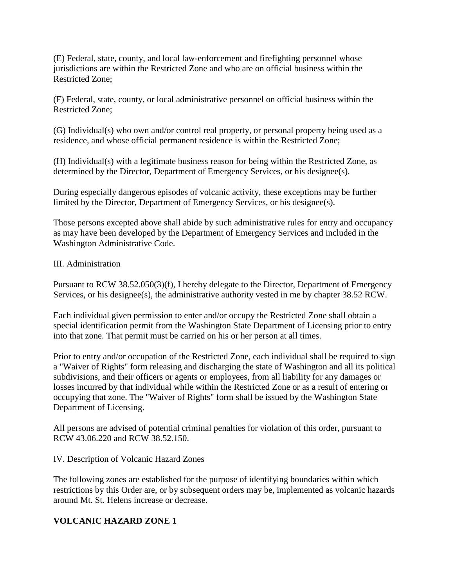(E) Federal, state, county, and local law-enforcement and firefighting personnel whose jurisdictions are within the Restricted Zone and who are on official business within the Restricted Zone;

(F) Federal, state, county, or local administrative personnel on official business within the Restricted Zone;

(G) Individual(s) who own and/or control real property, or personal property being used as a residence, and whose official permanent residence is within the Restricted Zone;

(H) Individual(s) with a legitimate business reason for being within the Restricted Zone, as determined by the Director, Department of Emergency Services, or his designee(s).

During especially dangerous episodes of volcanic activity, these exceptions may be further limited by the Director, Department of Emergency Services, or his designee(s).

Those persons excepted above shall abide by such administrative rules for entry and occupancy as may have been developed by the Department of Emergency Services and included in the Washington Administrative Code.

## III. Administration

Pursuant to RCW 38.52.050(3)(f), I hereby delegate to the Director, Department of Emergency Services, or his designee(s), the administrative authority vested in me by chapter 38.52 RCW.

Each individual given permission to enter and/or occupy the Restricted Zone shall obtain a special identification permit from the Washington State Department of Licensing prior to entry into that zone. That permit must be carried on his or her person at all times.

Prior to entry and/or occupation of the Restricted Zone, each individual shall be required to sign a "Waiver of Rights" form releasing and discharging the state of Washington and all its political subdivisions, and their officers or agents or employees, from all liability for any damages or losses incurred by that individual while within the Restricted Zone or as a result of entering or occupying that zone. The "Waiver of Rights" form shall be issued by the Washington State Department of Licensing.

All persons are advised of potential criminal penalties for violation of this order, pursuant to RCW 43.06.220 and RCW 38.52.150.

#### IV. Description of Volcanic Hazard Zones

The following zones are established for the purpose of identifying boundaries within which restrictions by this Order are, or by subsequent orders may be, implemented as volcanic hazards around Mt. St. Helens increase or decrease.

## **VOLCANIC HAZARD ZONE 1**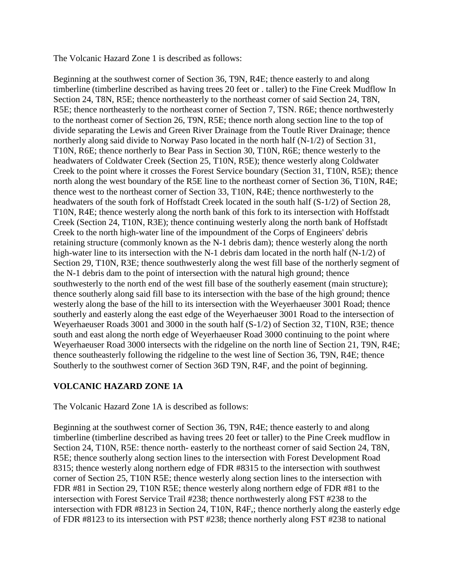The Volcanic Hazard Zone 1 is described as follows:

Beginning at the southwest corner of Section 36, T9N, R4E; thence easterly to and along timberline (timberline described as having trees 20 feet or . taller) to the Fine Creek Mudflow In Section 24, T8N, R5E; thence northeasterly to the northeast corner of said Section 24, T8N, R5E; thence northeasterly to the northeast corner of Section 7, TSN. R6E; thence northwesterly to the northeast corner of Section 26, T9N, R5E; thence north along section line to the top of divide separating the Lewis and Green River Drainage from the Toutle River Drainage; thence northerly along said divide to Norway Paso located in the north half (N-1/2) of Section 31, T10N, R6E; thence northerly to Bear Pass in Section 30, T10N, R6E; thence westerly to the headwaters of Coldwater Creek (Section 25, T10N, R5E); thence westerly along Coldwater Creek to the point where it crosses the Forest Service boundary (Section 31, T10N, R5E); thence north along the west boundary of the R5E line to the northeast corner of Section 36, T10N, R4E; thence west to the northeast corner of Section 33, T10N, R4E; thence northwesterly to the headwaters of the south fork of Hoffstadt Creek located in the south half (S-1/2) of Section 28, T10N, R4E; thence westerly along the north bank of this fork to its intersection with Hoffstadt Creek (Section 24, T10N, R3E); thence continuing westerly along the north bank of Hoffstadt Creek to the north high-water line of the impoundment of the Corps of Engineers' debris retaining structure (commonly known as the N-1 debris dam); thence westerly along the north high-water line to its intersection with the N-1 debris dam located in the north half (N-1/2) of Section 29, T10N, R3E; thence southwesterly along the west fill base of the northerly segment of the N-1 debris dam to the point of intersection with the natural high ground; thence southwesterly to the north end of the west fill base of the southerly easement (main structure); thence southerly along said fill base to its intersection with the base of the high ground; thence westerly along the base of the hill to its intersection with the Weyerhaeuser 3001 Road; thence southerly and easterly along the east edge of the Weyerhaeuser 3001 Road to the intersection of Weyerhaeuser Roads 3001 and 3000 in the south half (S-1/2) of Section 32, T10N, R3E; thence south and east along the north edge of Weyerhaeuser Road 3000 continuing to the point where Weyerhaeuser Road 3000 intersects with the ridgeline on the north line of Section 21, T9N, R4E; thence southeasterly following the ridgeline to the west line of Section 36, T9N, R4E; thence Southerly to the southwest corner of Section 36D T9N, R4F, and the point of beginning.

## **VOLCANIC HAZARD ZONE 1A**

The Volcanic Hazard Zone 1A is described as follows:

Beginning at the southwest corner of Section 36, T9N, R4E; thence easterly to and along timberline (timberline described as having trees 20 feet or taller) to the Pine Creek mudflow in Section 24, T10N, R5E: thence north- easterly to the northeast corner of said Section 24, T8N, R5E; thence southerly along section lines to the intersection with Forest Development Road 8315; thence westerly along northern edge of FDR #8315 to the intersection with southwest corner of Section 25, T10N R5E; thence westerly along section lines to the intersection with FDR #81 in Section 29, T10N R5E; thence westerly along northern edge of FDR #81 to the intersection with Forest Service Trail #238; thence northwesterly along FST #238 to the intersection with FDR #8123 in Section 24, T10N, R4F,; thence northerly along the easterly edge of FDR #8123 to its intersection with PST #238; thence northerly along FST #238 to national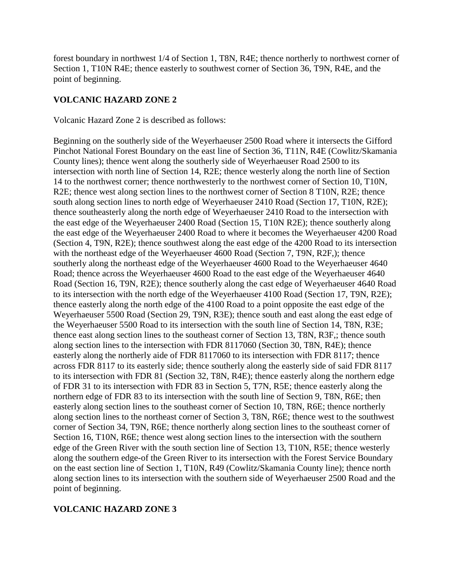forest boundary in northwest 1/4 of Section 1, T8N, R4E; thence northerly to northwest corner of Section 1, T10N R4E; thence easterly to southwest corner of Section 36, T9N, R4E, and the point of beginning.

## **VOLCANIC HAZARD ZONE 2**

Volcanic Hazard Zone 2 is described as follows:

Beginning on the southerly side of the Weyerhaeuser 2500 Road where it intersects the Gifford Pinchot National Forest Boundary on the east line of Section 36, T11N, R4E (Cowlitz/Skamania County lines); thence went along the southerly side of Weyerhaeuser Road 2500 to its intersection with north line of Section 14, R2E; thence westerly along the north line of Section 14 to the northwest corner; thence northwesterly to the northwest corner of Section 10, T10N, R2E; thence west along section lines to the northwest corner of Section 8 T10N, R2E; thence south along section lines to north edge of Weyerhaeuser 2410 Road (Section 17, T10N, R2E); thence southeasterly along the north edge of Weyerhaeuser 2410 Road to the intersection with the east edge of the Weyerhaeuser 2400 Road (Section 15, T10N R2E); thence southerly along the east edge of the Weyerhaeuser 2400 Road to where it becomes the Weyerhaeuser 4200 Road (Section 4, T9N, R2E); thence southwest along the east edge of the 4200 Road to its intersection with the northeast edge of the Weyerhaeuser 4600 Road (Section 7, T9N, R2F,); thence southerly along the northeast edge of the Weyerhaeuser 4600 Road to the Weyerhaeuser 4640 Road; thence across the Weyerhaeuser 4600 Road to the east edge of the Weyerhaeuser 4640 Road (Section 16, T9N, R2E); thence southerly along the cast edge of Weyerhaeuser 4640 Road to its intersection with the north edge of the Weyerhaeuser 4100 Road (Section 17, T9N, R2E); thence easterly along the north edge of the 4100 Road to a point opposite the east edge of the Weyerhaeuser 5500 Road (Section 29, T9N, R3E); thence south and east along the east edge of the Weyerhaeuser 5500 Road to its intersection with the south line of Section 14, T8N, R3E; thence east along section lines to the southeast corner of Section 13, T8N, R3F,; thence south along section lines to the intersection with FDR 8117060 (Section 30, T8N, R4E); thence easterly along the northerly aide of FDR 8117060 to its intersection with FDR 8117; thence across FDR 8117 to its easterly side; thence southerly along the easterly side of said FDR 8117 to its intersection with FDR 81 (Section 32, T8N, R4E); thence easterly along the northern edge of FDR 31 to its intersection with FDR 83 in Section 5, T7N, R5E; thence easterly along the northern edge of FDR 83 to its intersection with the south line of Section 9, T8N, R6E; then easterly along section lines to the southeast corner of Section 10, T8N, R6E; thence northerly along section lines to the northeast corner of Section 3, T8N, R6E; thence west to the southwest corner of Section 34, T9N, R6E; thence northerly along section lines to the southeast corner of Section 16, T10N, R6E; thence west along section lines to the intersection with the southern edge of the Green River with the south section line of Section 13, T10N, R5E; thence westerly along the southern edge-of the Green River to its intersection with the Forest Service Boundary on the east section line of Section 1, T10N, R49 (Cowlitz/Skamania County line); thence north along section lines to its intersection with the southern side of Weyerhaeuser 2500 Road and the point of beginning.

# **VOLCANIC HAZARD ZONE 3**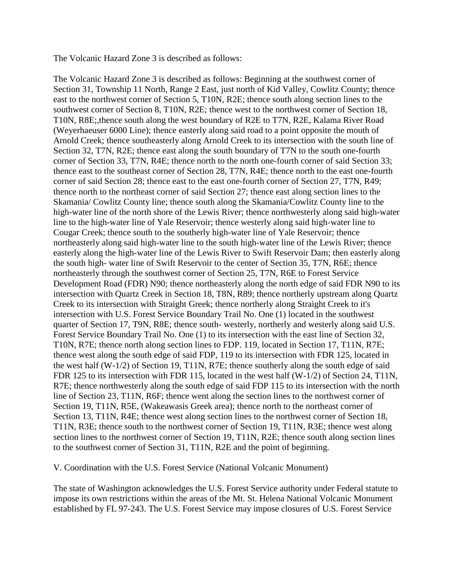The Volcanic Hazard Zone 3 is described as follows:

The Volcanic Hazard Zone 3 is described as follows: Beginning at the southwest corner of Section 31, Township 11 North, Range 2 East, just north of Kid Valley, Cowlitz County; thence east to the northwest corner of Section 5, T10N, R2E; thence south along section lines to the southwest corner of Section 8, T10N, R2E; thence west to the northwest corner of Section 18, T10N, R8E;,thence south along the west boundary of R2E to T7N, R2E, Kalama River Road (Weyerhaeuser 6000 Line); thence easterly along said road to a point opposite the mouth of Arnold Creek; thence southeasterly along Arnold Creek to its intersection with the south line of Section 32, T7N, R2E; thence east along the south boundary of T7N to the south one-fourth corner of Section 33, T7N, R4E; thence north to the north one-fourth corner of said Section 33; thence east to the southeast corner of Section 28, T7N, R4E; thence north to the east one-fourth corner of said Section 28; thence east to the east one-fourth corner of Section 27, T7N, R49; thence north to the northeast corner of said Section 27; thence east along section lines to the Skamania/ Cowlitz County line; thence south along the Skamania/Cowlitz County line to the high-water line of the north shore of the Lewis River; thence northwesterly along said high-water line to the high-water line of Yale Reservoir; thence westerly along said high-water line to Cougar Creek; thence south to the southerly high-water line of Yale Reservoir; thence northeasterly along said high-water line to the south high-water line of the Lewis River; thence easterly along the high-water line of the Lewis River to Swift Reservoir Dam; then easterly along the south high- water line of Swift Reservoir to the center of Section 35, T7N, R6E; thence northeasterly through the southwest corner of Section 25, T7N, R6E to Forest Service Development Road (FDR) N90; thence northeasterly along the north edge of said FDR N90 to its intersection with Quartz Creek in Section 18, T8N, R89; thence northerly upstream along Quartz Creek to its intersection with Straight Greek; thence northerly along Straight Creek to it's intersection with U.S. Forest Service Boundary Trail No. One (1) located in the southwest quarter of Section 17, T9N, R8E; thence south- westerly, northerly and westerly along said U.S. Forest Service Boundary Trail No. One (1) to its intersection with the east line of Section 32, T10N, R7E; thence north along section lines to FDP. 119, located in Section 17, T11N, R7E; thence west along the south edge of said FDP, 119 to its intersection with FDR 125, located in the west half (W-1/2) of Section 19, T11N, R7E; thence southerly along the south edge of said FDR 125 to its intersection with FDR 115, located in the west half (W-1/2) of Section 24, T11N, R7E; thence northwesterly along the south edge of said FDP 115 to its intersection with the north line of Section 23, T11N, R6F; thence went along the section lines to the northwest corner of Section 19, T11N, R5E, (Wakeawasis Greek area); thence north to the northeast corner of Section 13, T11N, R4E; thence west along section lines to the northwest corner of Section 18, T11N, R3E; thence south to the northwest corner of Section 19, T11N, R3E; thence west along section lines to the northwest corner of Section 19, T11N, R2E; thence south along section lines to the southwest corner of Section 31, T11N, R2E and the point of beginning.

V. Coordination with the U.S. Forest Service (National Volcanic Monument)

The state of Washington acknowledges the U.S. Forest Service authority under Federal statute to impose its own restrictions within the areas of the Mt. St. Helena National Volcanic Monument established by FL 97-243. The U.S. Forest Service may impose closures of U.S. Forest Service